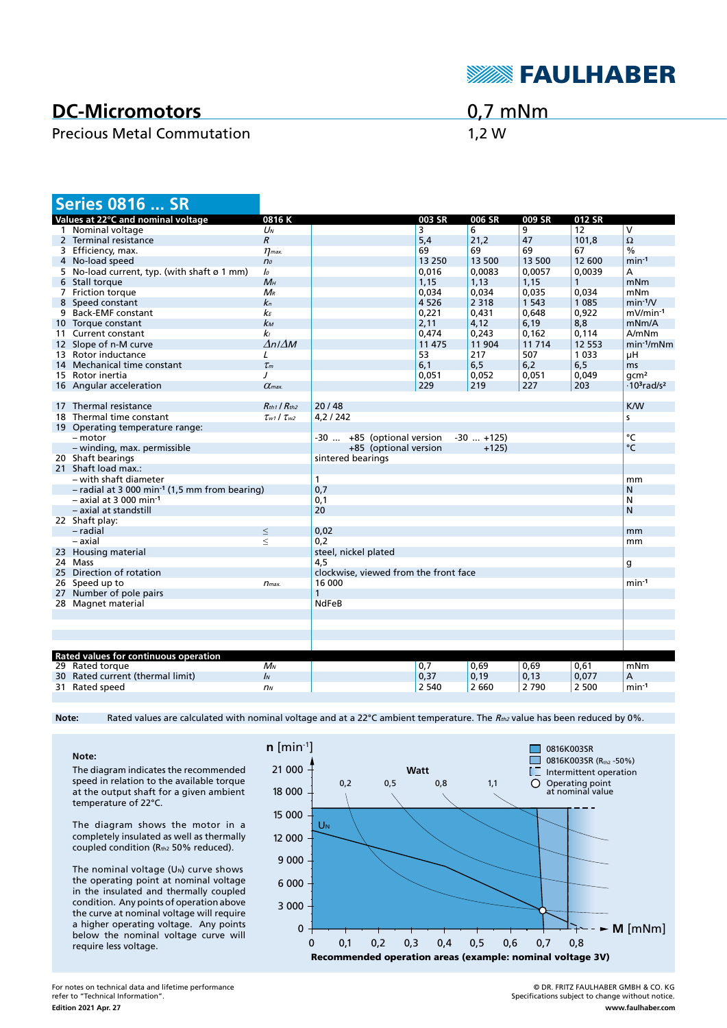

## **DC-Micromotors**

## Precious Metal Commutation 1,2 W

0,7 mNm

| <b>Series 0816  SR</b>                                      |                             |                                                 |                 |                 |                  |                  |                                            |
|-------------------------------------------------------------|-----------------------------|-------------------------------------------------|-----------------|-----------------|------------------|------------------|--------------------------------------------|
| Values at 22°C and nominal voltage                          | 0816K                       |                                                 | 003 SR          | 006 SR          | 009 SR           | 012 SR           |                                            |
| 1 Nominal voltage                                           | $U_N$                       |                                                 | 3               | 6               | 9                | 12               | $\overline{\mathsf{v}}$                    |
| 2 Terminal resistance                                       | $\boldsymbol{R}$            |                                                 | 5,4             | 21.2            | 47               | 101.8            | $\Omega$                                   |
| 3 Efficiency, max.                                          | $\eta$ <sub>max</sub>       |                                                 | 69              | 69              | 69               | 67               | $\frac{0}{0}$                              |
| 4 No-load speed                                             | n <sub>o</sub>              |                                                 | 13 250          | 13 500          | 13 500           | 12 600           | $min-1$                                    |
| 5 No-load current, typ. (with shaft ø 1 mm)                 | lo                          |                                                 | 0,016           | 0,0083          | 0,0057           | 0,0039           | А                                          |
| 6 Stall torque                                              | $M_H$                       |                                                 | 1,15            | 1,13            | 1,15             | $\mathbf{1}$     | mNm                                        |
| 7 Friction torque                                           | $M_{R}$                     |                                                 | 0,034           | 0,034           | 0,035            | 0.034            | mNm                                        |
| 8 Speed constant                                            | $k_{n}$                     |                                                 | 4 5 2 6         | 2 3 1 8         | 1 5 4 3          | 1 0 8 5          | $min-1/V$                                  |
| 9 Back-EMF constant                                         | kЕ                          |                                                 | 0,221           | 0,431           | 0,648            | 0,922            | mV/min-1                                   |
| 10 Torque constant                                          | kм                          |                                                 | 2,11            | 4,12            | 6,19             | 8,8              | mNm/A                                      |
| 11 Current constant                                         | kı<br>$\Delta n / \Delta M$ |                                                 | 0.474<br>11 475 | 0.243<br>11 904 | 0.162<br>11 7 14 | 0.114<br>12 5 53 | A/mNm<br>$min-1/mNm$                       |
| 12 Slope of n-M curve<br>13 Rotor inductance                | L                           |                                                 | 53              | 217             | 507              | 1 0 3 3          | μH                                         |
| 14 Mechanical time constant                                 | $\tau_m$                    |                                                 | 6,1             | 6, 5            | 6,2              | 6,5              | ms                                         |
| 15 Rotor inertia                                            | $\prime$                    |                                                 | 0,051           | 0,052           | 0,051            | 0,049            | qcm <sup>2</sup>                           |
| 16 Angular acceleration                                     | $\alpha$ <sub>max</sub>     |                                                 | 229             | 219             | 227              | 203              | $\cdot$ 10 <sup>3</sup> rad/s <sup>2</sup> |
|                                                             |                             |                                                 |                 |                 |                  |                  |                                            |
| 17 Thermal resistance                                       | $R_{th1}$ / $R_{th2}$       | 20/48                                           |                 |                 |                  |                  | <b>K/W</b>                                 |
| 18 Thermal time constant                                    | $\tau_{w1}$ / $\tau_{w2}$   | 4,2/242<br>s                                    |                 |                 |                  |                  |                                            |
| 19 Operating temperature range:                             |                             |                                                 |                 |                 |                  |                  |                                            |
| - motor                                                     |                             | -30  +85 (optional version                      |                 | $-30$ $+125$    |                  |                  | °C                                         |
| - winding, max. permissible                                 |                             | +85 (optional version                           |                 | $+125$          |                  |                  | °C                                         |
| 20 Shaft bearings                                           | sintered bearings           |                                                 |                 |                 |                  |                  |                                            |
| 21 Shaft load max.:                                         |                             |                                                 |                 |                 |                  |                  |                                            |
| – with shaft diameter                                       |                             | $\mathbf{1}$                                    |                 |                 |                  |                  | mm                                         |
| $-$ radial at 3 000 min <sup>-1</sup> (1,5 mm from bearing) | 0,7                         |                                                 |                 |                 |                  | N                |                                            |
| $-$ axial at 3 000 min <sup>-1</sup>                        |                             | 0,1                                             |                 |                 |                  |                  | N                                          |
| - axial at standstill                                       |                             | 20                                              |                 |                 |                  |                  | N                                          |
| 22 Shaft play:                                              |                             |                                                 |                 |                 |                  |                  |                                            |
| - radial                                                    | $\leq$                      | 0,02                                            |                 |                 |                  |                  | mm                                         |
| - axial                                                     | $\leq$                      | 0,2                                             |                 |                 |                  |                  | mm                                         |
| 23 Housing material                                         |                             | steel, nickel plated                            |                 |                 |                  |                  |                                            |
| 24 Mass<br>25 Direction of rotation                         |                             | 4,5                                             |                 |                 |                  |                  | g                                          |
| 26 Speed up to                                              |                             | clockwise, viewed from the front face<br>16 000 |                 |                 |                  |                  | $min-1$                                    |
| 27 Number of pole pairs                                     | $n_{max.}$                  | 1                                               |                 |                 |                  |                  |                                            |
| 28 Magnet material                                          |                             | <b>NdFeB</b>                                    |                 |                 |                  |                  |                                            |
|                                                             |                             |                                                 |                 |                 |                  |                  |                                            |
|                                                             |                             |                                                 |                 |                 |                  |                  |                                            |
|                                                             |                             |                                                 |                 |                 |                  |                  |                                            |
|                                                             |                             |                                                 |                 |                 |                  |                  |                                            |
| Rated values for continuous operation                       |                             |                                                 |                 |                 |                  |                  |                                            |
| 29 Rated torque                                             | $M_N$                       |                                                 | 0,7             | 0,69            | 0,69             | 0,61             | mNm                                        |
| 30 Rated current (thermal limit)                            | $\mathbf{I}$                |                                                 | 0,37            | 0,19            | 0,13             | 0,077            | А                                          |
| 31 Rated speed                                              | n <sub>N</sub>              |                                                 | 2 5 4 0         | 2 6 6 0         | 2790             | 2 500            | min-1                                      |
|                                                             |                             |                                                 |                 |                 |                  |                  |                                            |

Note: Rated values are calculated with nominal voltage and at a 22°C ambient temperature. The R<sub>th2</sub> value has been reduced by 0%.

**Note:** The diagram indicates the recommended speed in relation to the available torque at the output shaft for a given ambient temperature of 22°C.

The diagram shows the motor in a completely insulated as well as thermally coupled condition (Rth2 50% reduced).

The nominal voltage  $(U_N)$  curve shows the operating point at nominal voltage in the insulated and thermally coupled condition. Any points of operation above the curve at nominal voltage will require a higher operating voltage. Any points below the nominal voltage curve will require less voltage.